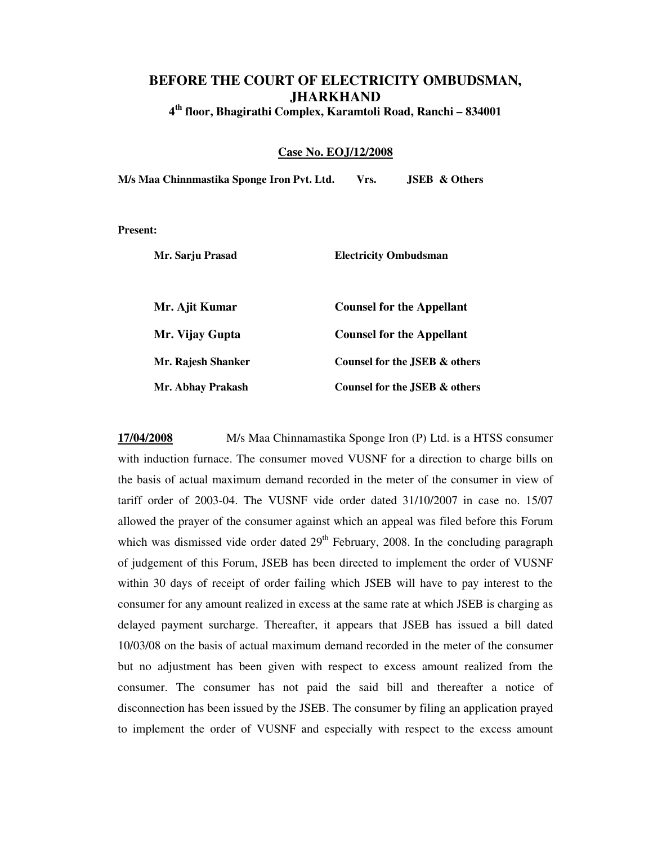## **BEFORE THE COURT OF ELECTRICITY OMBUDSMAN, JHARKHAND**

**4 th floor, Bhagirathi Complex, Karamtoli Road, Ranchi – 834001**

## **Case No. EOJ/12/2008**

**M/s Maa Chinnmastika Sponge Iron Pvt. Ltd. Vrs. JSEB & Others** 

**Present:** 

| Mr. Sarju Prasad   | <b>Electricity Ombudsman</b>     |
|--------------------|----------------------------------|
| Mr. Ajit Kumar     | <b>Counsel for the Appellant</b> |
| Mr. Vijay Gupta    | <b>Counsel for the Appellant</b> |
| Mr. Rajesh Shanker | Counsel for the JSEB & others    |
| Mr. Abhay Prakash  | Counsel for the JSEB & others    |

**17/04/2008** M/s Maa Chinnamastika Sponge Iron (P) Ltd. is a HTSS consumer with induction furnace. The consumer moved VUSNF for a direction to charge bills on the basis of actual maximum demand recorded in the meter of the consumer in view of tariff order of 2003-04. The VUSNF vide order dated 31/10/2007 in case no. 15/07 allowed the prayer of the consumer against which an appeal was filed before this Forum which was dismissed vide order dated  $29<sup>th</sup>$  February, 2008. In the concluding paragraph of judgement of this Forum, JSEB has been directed to implement the order of VUSNF within 30 days of receipt of order failing which JSEB will have to pay interest to the consumer for any amount realized in excess at the same rate at which JSEB is charging as delayed payment surcharge. Thereafter, it appears that JSEB has issued a bill dated 10/03/08 on the basis of actual maximum demand recorded in the meter of the consumer but no adjustment has been given with respect to excess amount realized from the consumer. The consumer has not paid the said bill and thereafter a notice of disconnection has been issued by the JSEB. The consumer by filing an application prayed to implement the order of VUSNF and especially with respect to the excess amount